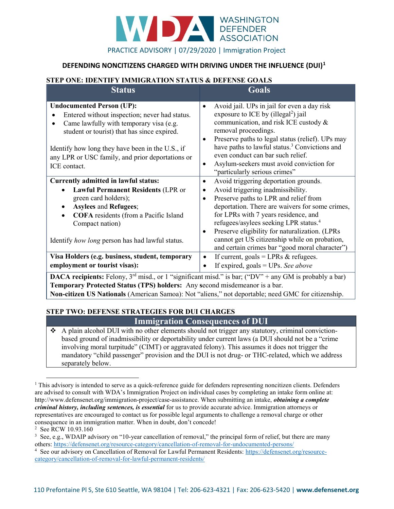

### DEFENDING NONCITIZENS CHARGED WITH DRIVING UNDER THE INFLUENCE (DUI)<sup>1</sup>

#### STEP ONE: IDENTIFY IMMIGRATION STATUS & DEFENSE GOALS

| <b>Status</b>                                                                                                                                                                                                                                                                | <b>Goals</b>                                                                                                                                                                                                                                                                                                                                                                                                                                                 |
|------------------------------------------------------------------------------------------------------------------------------------------------------------------------------------------------------------------------------------------------------------------------------|--------------------------------------------------------------------------------------------------------------------------------------------------------------------------------------------------------------------------------------------------------------------------------------------------------------------------------------------------------------------------------------------------------------------------------------------------------------|
| <b>Undocumented Person (UP):</b><br>Entered without inspection; never had status.<br>Came lawfully with temporary visa (e.g.<br>student or tourist) that has since expired.                                                                                                  | Avoid jail. UPs in jail for even a day risk<br>$\bullet$<br>exposure to ICE by (illegal <sup>2</sup> ) jail<br>communication, and risk ICE custody &<br>removal proceedings.<br>Preserve paths to legal status (relief). UPs may<br>$\bullet$                                                                                                                                                                                                                |
| Identify how long they have been in the U.S., if<br>any LPR or USC family, and prior deportations or<br>ICE contact.                                                                                                                                                         | have paths to lawful status. <sup>3</sup> Convictions and<br>even conduct can bar such relief.<br>Asylum-seekers must avoid conviction for<br>$\bullet$<br>"particularly serious crimes"                                                                                                                                                                                                                                                                     |
| Currently admitted in lawful status:<br><b>Lawful Permanent Residents (LPR or</b><br>green card holders);<br><b>Asylees and Refugees;</b><br><b>COFA</b> residents (from a Pacific Island<br>$\bullet$<br>Compact nation)<br>Identify how long person has had lawful status. | Avoid triggering deportation grounds.<br>$\bullet$<br>Avoid triggering inadmissibility.<br>٠<br>Preserve paths to LPR and relief from<br>$\bullet$<br>deportation. There are waivers for some crimes,<br>for LPRs with 7 years residence, and<br>refugees/asylees seeking LPR status. <sup>4</sup><br>Preserve eligibility for naturalization. (LPRs<br>٠<br>cannot get US citizenship while on probation,<br>and certain crimes bar "good moral character") |
| Visa Holders (e.g. business, student, temporary<br>employment or tourist visas):<br><b>DACA recipients:</b> Felony, $3^{rd}$ misd., or 1 "significant misd." is bar; ("DV" + any GM is probably a bar)                                                                       | If current, goals = LPRs $&$ refugees.<br>٠<br>If expired, goals = UPs. See above                                                                                                                                                                                                                                                                                                                                                                            |

Temporary Protected Status (TPS) holders: Any second misdemeanor is a bar. Non-citizen US Nationals (American Samoa): Not "aliens," not deportable; need GMC for citizenship.

#### STEP TWO: DEFENSE STRATEGIES FOR DUI CHARGES

## Immigration Consequences of DUI

 A plain alcohol DUI with no other elements should not trigger any statutory, criminal convictionbased ground of inadmissibility or deportability under current laws (a DUI should not be a "crime involving moral turpitude" (CIMT) or aggravated felony). This assumes it does not trigger the mandatory "child passenger" provision and the DUI is not drug- or THC-related, which we address separately below.

2 See RCW 10.93.160

<sup>&</sup>lt;sup>1</sup> This advisory is intended to serve as a quick-reference guide for defenders representing noncitizen clients. Defenders are advised to consult with WDA's Immigration Project on individual cases by completing an intake form online at: http://www.defensenet.org/immigration-project/case-assistance. When submitting an intake, *obtaining a complete* criminal history, including sentences, is essential for us to provide accurate advice. Immigration attorneys or representatives are encouraged to contact us for possible legal arguments to challenge a removal charge or other consequence in an immigration matter. When in doubt, don't concede!

<sup>&</sup>lt;sup>3</sup> See, e.g., WDAIP advisory on "10-year cancellation of removal," the principal form of relief, but there are many others: https://defensenet.org/resource-category/cancellation-of-removal-for-undocumented-persons/

<sup>&</sup>lt;sup>4</sup> See our advisory on Cancellation of Removal for Lawful Permanent Residents: https://defensenet.org/resourcecategory/cancellation-of-removal-for-lawful-permanent-residents/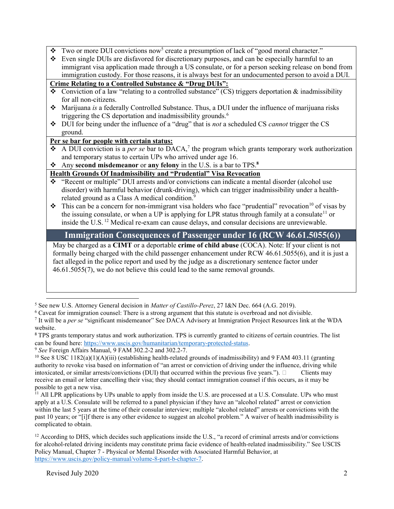- $\bullet$  Two or more DUI convictions now<sup>5</sup> create a presumption of lack of "good moral character."
- Even single DUIs are disfavored for discretionary purposes, and can be especially harmful to an immigrant visa application made through a US consulate, or for a person seeking release on bond from immigration custody. For those reasons, it is always best for an undocumented person to avoid a DUI.

## Crime Relating to a Controlled Substance & "Drug DUIs":

- $\bullet$  Conviction of a law "relating to a controlled substance" (CS) triggers deportation & inadmissibility for all non-citizens.
- Marijuana is a federally Controlled Substance. Thus, a DUI under the influence of marijuana risks triggering the CS deportation and inadmissibility grounds.<sup>6</sup>
- $\bullet$  DUI for being under the influence of a "drug" that is *not* a scheduled CS *cannot* trigger the CS ground.

## Per se bar for people with certain status:

- $\bullet$  A DUI conviction is a *per se* bar to DACA,<sup>7</sup> the program which grants temporary work authorization and temporary status to certain UPs who arrived under age 16.
- Any second misdemeanor or any felony in the U.S. is a bar to TPS.<sup>8</sup>

### Health Grounds Of Inadmissibility and "Prudential" Visa Revocation

- "Recent or multiple" DUI arrests and/or convictions can indicate a mental disorder (alcohol use disorder) with harmful behavior (drunk-driving), which can trigger inadmissibility under a healthrelated ground as a Class A medical condition.<sup>9</sup>
- $\bullet$  This can be a concern for non-immigrant visa holders who face "prudential" revocation<sup>10</sup> of visas by the issuing consulate, or when a UP is applying for LPR status through family at a consulate<sup>11</sup> or inside the U.S.<sup>12</sup> Medical re-exam can cause delays, and consular decisions are unreviewable.

# Immigration Consequences of Passenger under 16 (RCW 46.61.5055(6))

May be charged as a **CIMT** or a deportable **crime of child abuse** (COCA). Note: If your client is not formally being charged with the child passenger enhancement under RCW 46.61.5055(6), and it is just a fact alleged in the police report and used by the judge as a discretionary sentence factor under 46.61.5055(7), we do not believe this could lead to the same removal grounds.

<sup>8</sup> TPS grants temporary status and work authorization. TPS is currently granted to citizens of certain countries. The list can be found here: https://www.uscis.gov/humanitarian/temporary-protected-status.

<sup>&</sup>lt;sup>5</sup> See new U.S. Attorney General decision in *Matter of Castillo-Perez*, 27 I&N Dec. 664 (A.G. 2019).

<sup>&</sup>lt;sup>6</sup> Caveat for immigration counsel: There is a strong argument that this statute is overbroad and not divisible.

<sup>&</sup>lt;sup>7</sup> It will be a *per se* "significant misdemeanor" See DACA Advisory at Immigration Project Resources link at the WDA website.

<sup>&</sup>lt;sup>9</sup> See Foreign Affairs Manual, 9 FAM 302.2-2 and 302.2-7.

<sup>&</sup>lt;sup>10</sup> See 8 USC 1182(a)(1)(A)(iii) (establishing health-related grounds of inadmissibility) and 9 FAM 403.11 (granting authority to revoke visa based on information of "an arrest or conviction of driving under the influence, driving while intoxicated, or similar arrests/convictions (DUI) that occurred within the previous five years.").  $\Box$  Clients may receive an email or letter cancelling their visa; they should contact immigration counsel if this occurs, as it may be possible to get a new visa.

 $<sup>11</sup>$  All LPR applications by UPs unable to apply from inside the U.S. are processed at a U.S. Consulate. UPs who must</sup> apply at a U.S. Consulate will be referred to a panel physician if they have an "alcohol related" arrest or conviction within the last 5 years at the time of their consular interview; multiple "alcohol related" arrests or convictions with the past 10 years; or "[i]f there is any other evidence to suggest an alcohol problem." A waiver of health inadmissibility is complicated to obtain.

 $12$  According to DHS, which decides such applications inside the U.S., "a record of criminal arrests and/or convictions for alcohol-related driving incidents may constitute prima facie evidence of health-related inadmissibility." See USCIS Policy Manual, Chapter 7 - Physical or Mental Disorder with Associated Harmful Behavior, at https://www.uscis.gov/policy-manual/volume-8-part-b-chapter-7.